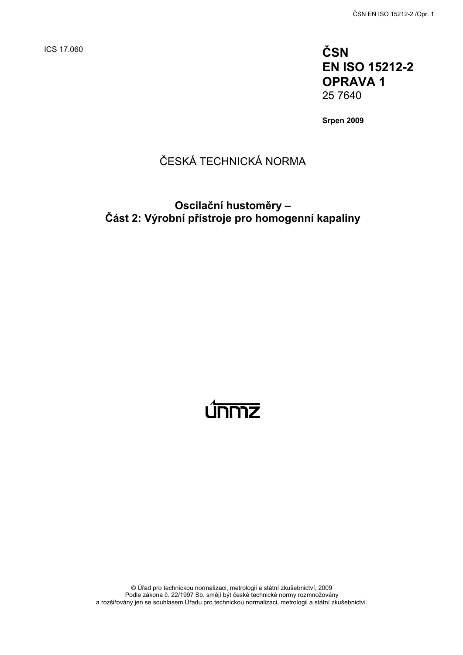## ICS 17.060 **ČSN EN ISO 15212-2 OPRAVA 1**  25 7640

**Srpen 2009** 

# ČESKÁ TECHNICKÁ NORMA

# **Oscilační hustoměry – Část 2: Výrobní přístroje pro homogenní kapaliny**

# <u>únmz</u>

© Úřad pro technickou normalizaci, metrologii a státní zkušebnictví, 2009 Podle zákona č. 22/1997 Sb. smějí být české technické normy rozmnožovány a rozšiřovány jen se souhlasem Úřadu pro technickou normalizaci, metrologii a státní zkušebnictví.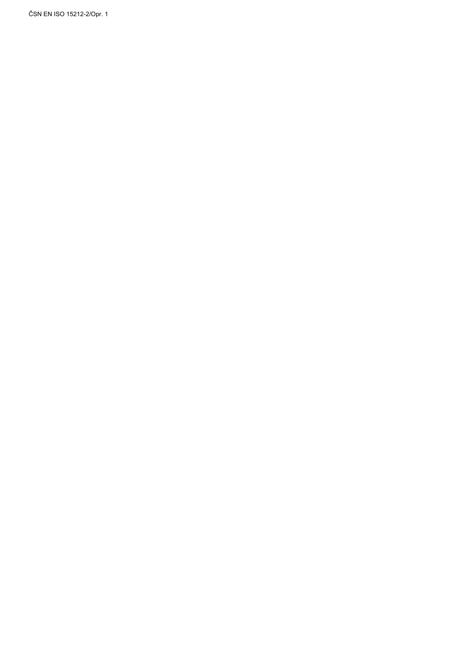ČSN EN ISO 15212-2/Opr. 1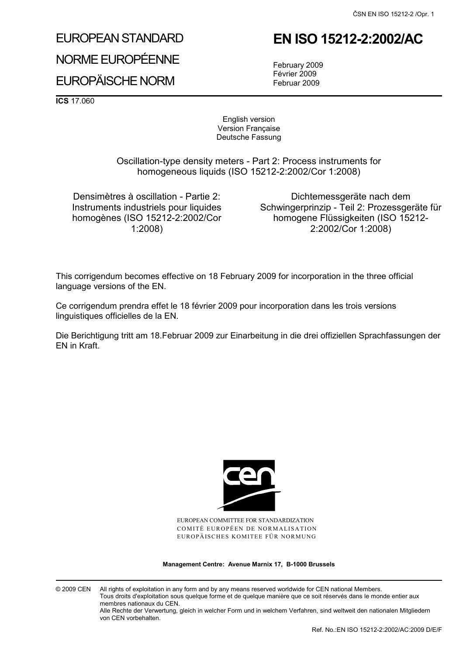## EUROPEAN STANDARD

# **EN ISO 15212-2:2002/AC**

NORME EUROPÉENNE

EUROPÄISCHE NORM

 February 2009 Février 2009 Februar 2009

**ICS** 17.060

English version Version Française Deutsche Fassung

 Oscillation-type density meters - Part 2: Process instruments for homogeneous liquids (ISO 15212-2:2002/Cor 1:2008)

Densimètres à oscillation - Partie 2: Instruments industriels pour liquides homogènes (ISO 15212-2:2002/Cor 1:2008)

 Dichtemessgeräte nach dem Schwingerprinzip - Teil 2: Prozessgeräte für homogene Flüssigkeiten (ISO 15212- 2:2002/Cor 1:2008)

This corrigendum becomes effective on 18 February 2009 for incorporation in the three official language versions of the EN.

Ce corrigendum prendra effet le 18 février 2009 pour incorporation dans les trois versions linguistiques officielles de la EN.

Die Berichtigung tritt am 18.Februar 2009 zur Einarbeitung in die drei offiziellen Sprachfassungen der EN in Kraft.



EUROPEAN COMMITTEE FOR STANDARDIZATION COMITÉ EUROPÉEN DE NORMALISATION EUROPÄISCHES KOMITEE FÜR NORMUNG

**Management Centre: Avenue Marnix 17, B-1000 Brussels** 

© 2009 CEN All rights of exploitation in any form and by any means reserved worldwide for CEN national Members. Tous droits d'exploitation sous quelque forme et de quelque manière que ce soit réservés dans le monde entier aux membres nationaux du CEN. Alle Rechte der Verwertung, gleich in welcher Form und in welchem Verfahren, sind weltweit den nationalen Mitgliedern

von CEN vorbehalten.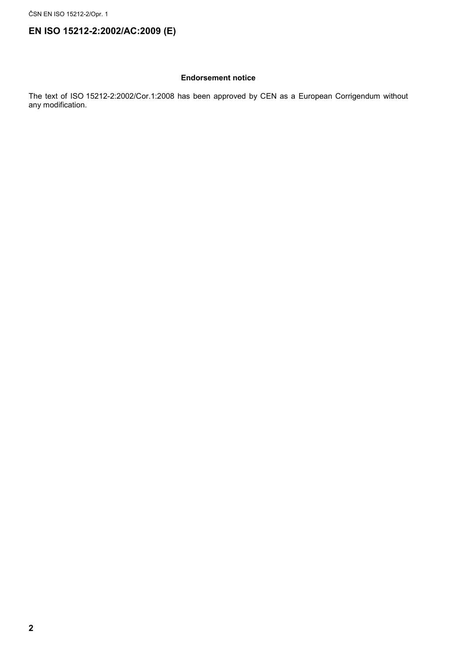ČSN EN ISO 15212-2/Opr. 1

### **EN ISO 15212-2:2002/AC:2009 (E)**

#### **Endorsement notice**

The text of ISO 15212-2:2002/Cor.1:2008 has been approved by CEN as a European Corrigendum without any modification.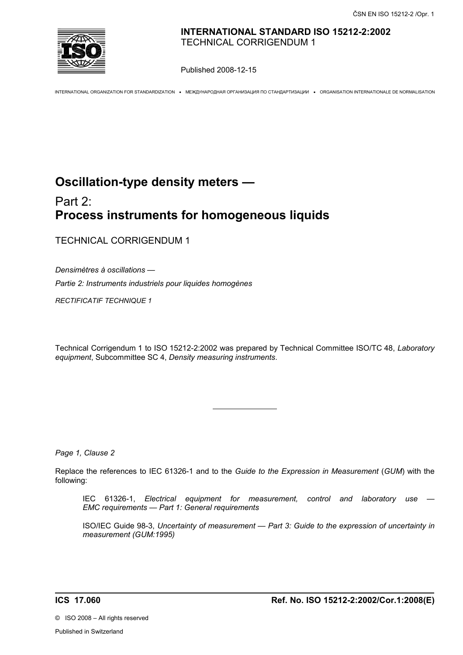

#### **INTERNATIONAL STANDARD ISO 15212-2:2002**  TECHNICAL CORRIGENDUM 1

Published 2008-12-15

INTERNATIONAL ORGANIZATION FOR STANDARDIZATION • МЕЖДУНАРОДНАЯ ОРГАНИЗАЦИЯ ПО СТАНДАРТИЗАЦИИ • ORGANISATION INTERNATIONALE DE NORMALISATION

# **Oscillation-type density meters —**

## Part 2: **Process instruments for homogeneous liquids**

TECHNICAL CORRIGENDUM 1

*Densimètres à oscillations — Partie 2: Instruments industriels pour liquides homogènes RECTIFICATIF TECHNIQUE 1*

Technical Corrigendum 1 to ISO 15212-2:2002 was prepared by Technical Committee ISO/TC 48, *Laboratory equipment*, Subcommittee SC 4, *Density measuring instruments*.

L

*Page 1, Clause 2* 

Replace the references to IEC 61326-1 and to the *Guide to the Expression in Measurement* (*GUM*) with the following:

IEC 61326-1, *Electrical equipment for measurement, control and laboratory use — EMC requirements — Part 1: General requirements*

ISO/IEC Guide 98-3, *Uncertainty of measurement — Part 3: Guide to the expression of uncertainty in measurement (GUM:1995)*

©ISO 2008 – All rights reserved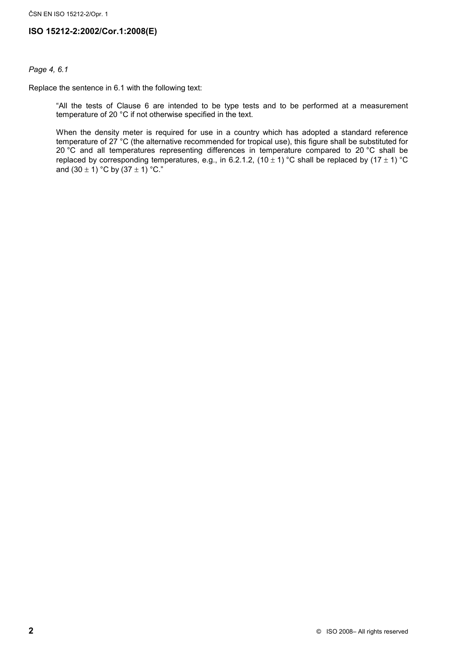#### **ISO 15212-2:2002/Cor.1:2008(E)**

*Page 4, 6.1* 

Replace the sentence in 6.1 with the following text:

"All the tests of Clause 6 are intended to be type tests and to be performed at a measurement temperature of 20 °C if not otherwise specified in the text.

When the density meter is required for use in a country which has adopted a standard reference temperature of 27 °C (the alternative recommended for tropical use), this figure shall be substituted for 20 °C and all temperatures representing differences in temperature compared to 20 °C shall be replaced by corresponding temperatures, e.g., in 6.2.1.2, (10  $\pm$  1) °C shall be replaced by (17  $\pm$  1) °C and  $(30 \pm 1)$  °C by  $(37 \pm 1)$  °C."